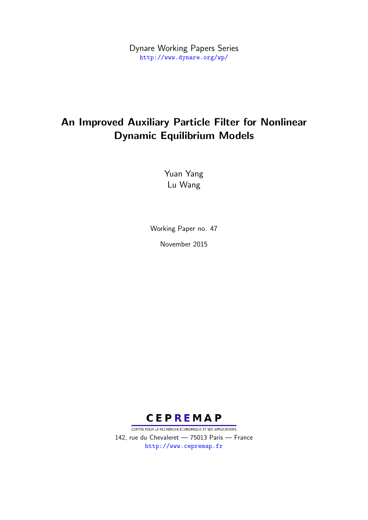Dynare Working Papers Series <http://www.dynare.org/wp/>

# An Improved Auxiliary Particle Filter for Nonlinear Dynamic Equilibrium Models

Yuan Yang Lu Wang

Working Paper no. 47 November 2015



CENTRE POUR LA RECHERCHE ECONOMIQUE ET SES APPLICATIONS 142, rue du Chevaleret — 75013 Paris — France <http://www.cepremap.fr>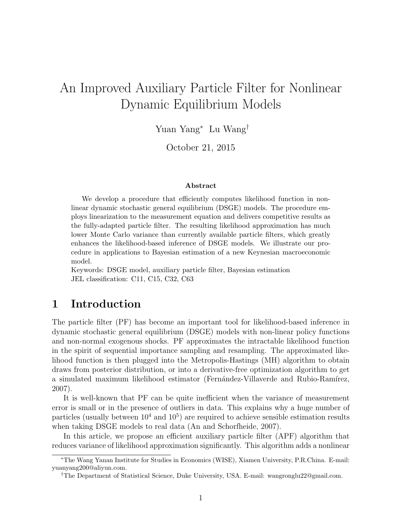# An Improved Auxiliary Particle Filter for Nonlinear Dynamic Equilibrium Models

Yuan Yang<sup>∗</sup> Lu Wang†

October 21, 2015

#### Abstract

We develop a procedure that efficiently computes likelihood function in nonlinear dynamic stochastic general equilibrium (DSGE) models. The procedure employs linearization to the measurement equation and delivers competitive results as the fully-adapted particle filter. The resulting likelihood approximation has much lower Monte Carlo variance than currently available particle filters, which greatly enhances the likelihood-based inference of DSGE models. We illustrate our procedure in applications to Bayesian estimation of a new Keynesian macroeconomic model.

Keywords: DSGE model, auxiliary particle filter, Bayesian estimation JEL classification: C11, C15, C32, C63

### 1 Introduction

The particle filter (PF) has become an important tool for likelihood-based inference in dynamic stochastic general equilibrium (DSGE) models with non-linear policy functions and non-normal exogenous shocks. PF approximates the intractable likelihood function in the spirit of sequential importance sampling and resampling. The approximated likelihood function is then plugged into the Metropolis-Hastings (MH) algorithm to obtain draws from posterior distribution, or into a derivative-free optimization algorithm to get a simulated maximum likelihood estimator (Fernández-Villaverde and Rubio-Ramírez, 2007).

It is well-known that PF can be quite inefficient when the variance of measurement error is small or in the presence of outliers in data. This explains why a huge number of particles (usually between  $10^4$  and  $10^5$ ) are required to achieve sensible estimation results when taking DSGE models to real data (An and Schorfheide, 2007).

In this article, we propose an efficient auxiliary particle filter (APF) algorithm that reduces variance of likelihood approximation significantly. This algorithm adds a nonlinear

<sup>∗</sup>The Wang Yanan Institute for Studies in Economics (WISE), Xiamen University, P.R.China. E-mail: yuanyang200@aliyun.com.

<sup>†</sup>The Department of Statistical Science, Duke University, USA. E-mail: wangronglu22@gmail.com.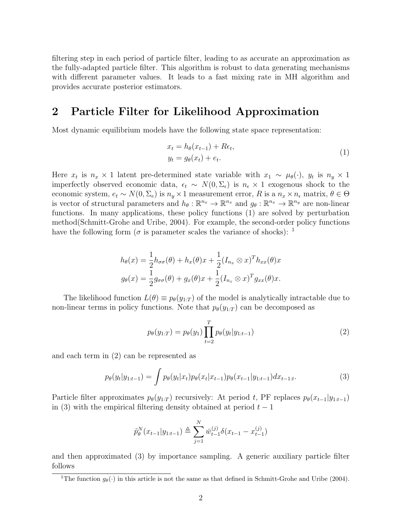filtering step in each period of particle filter, leading to as accurate an approximation as the fully-adapted particle filter. This algorithm is robust to data generating mechanisms with different parameter values. It leads to a fast mixing rate in MH algorithm and provides accurate posterior estimators.

#### 2 Particle Filter for Likelihood Approximation

Most dynamic equilibrium models have the following state space representation:

$$
x_t = h_{\theta}(x_{t-1}) + R\epsilon_t,
$$
  
\n
$$
y_t = g_{\theta}(x_t) + \epsilon_t.
$$
\n(1)

Here  $x_t$  is  $n_x \times 1$  latent pre-determined state variable with  $x_1 \sim \mu_\theta(\cdot)$ ,  $y_t$  is  $n_y \times 1$ imperfectly observed economic data,  $\epsilon_t \sim N(0, \Sigma_{\epsilon})$  is  $n_{\epsilon} \times 1$  exogenous shock to the economic system,  $e_t \sim N(0, \Sigma_e)$  is  $n_y \times 1$  measurement error, R is a  $n_x \times n_e$  matrix,  $\theta \in \Theta$ is vector of structural parameters and  $h_{\theta}: \mathbb{R}^{n_x} \to \mathbb{R}^{n_x}$  and  $g_{\theta}: \mathbb{R}^{n_x} \to \mathbb{R}^{n_y}$  are non-linear functions. In many applications, these policy functions (1) are solved by perturbation method(Schmitt-Grohe and Uribe, 2004). For example, the second-order policy functions have the following form ( $\sigma$  is parameter scales the variance of shocks): <sup>1</sup>

$$
h_{\theta}(x) = \frac{1}{2}h_{\sigma\sigma}(\theta) + h_x(\theta)x + \frac{1}{2}(I_{n_x} \otimes x)^T h_{xx}(\theta)x
$$
  

$$
g_{\theta}(x) = \frac{1}{2}g_{\sigma\sigma}(\theta) + g_x(\theta)x + \frac{1}{2}(I_{n_x} \otimes x)^T g_{xx}(\theta)x.
$$

The likelihood function  $L(\theta) \equiv p_{\theta}(y_{1:T})$  of the model is analytically intractable due to non-linear terms in policy functions. Note that  $p_{\theta}(y_{1:T})$  can be decomposed as

$$
p_{\theta}(y_{1:T}) = p_{\theta}(y_1) \prod_{t=2}^{T} p_{\theta}(y_t | y_{1:t-1})
$$
\n(2)

and each term in (2) can be represented as

$$
p_{\theta}(y_t|y_{1:t-1}) = \int p_{\theta}(y_t|x_t)p_{\theta}(x_t|x_{t-1})p_{\theta}(x_{t-1}|y_{1:t-1})dx_{t-1:t}.
$$
\n(3)

Particle filter approximates  $p_{\theta}(y_{1:T})$  recursively: At period t, PF replaces  $p_{\theta}(x_{t-1}|y_{1:t-1})$ in (3) with the empirical filtering density obtained at period  $t-1$ 

$$
\tilde{p}_{\theta}^{N}(x_{t-1}|y_{1:t-1}) \triangleq \sum_{j=1}^{N} \bar{w}_{t-1}^{(j)} \delta(x_{t-1} - x_{t-1}^{(j)})
$$

and then approximated (3) by importance sampling. A generic auxiliary particle filter follows

<sup>&</sup>lt;sup>1</sup>The function  $g_{\theta}(\cdot)$  in this article is not the same as that defined in Schmitt-Grohe and Uribe (2004).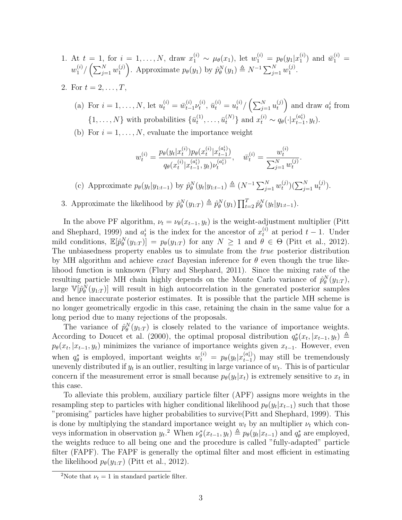- 1. At  $t = 1$ , for  $i = 1, ..., N$ , draw  $x_1^{(i)} \sim \mu_\theta(x_1)$ , let  $w_1^{(i)} = p_\theta(y_1|x_1^{(i)})$  $\bar{w}_1^{(i)}$  and  $\bar{w}_1^{(i)} =$  $w_1^{(i)}$  $\binom{i}{1} / \left( \sum_{j=1}^{N} w_1^{(j)} \right)$ (i)  $\sum_{1}^{(j)}$ . Approximate  $p_{\theta}(y_1)$  by  $\hat{p}_{\theta}^N(y_1) \triangleq N^{-1} \sum_{j=1}^N w_1^{(j)}$  $\binom{J}{1}$ .
- 2. For  $t = 2, ..., T$ ,
	- (a) For  $i = 1, ..., N$ , let  $u_t^{(i)} = \bar{w}_{t-}^{(i)}$  $\sum\limits_{t=1}^{(i)}\nu_t^{(i)}$  $u_t^{(i)}$ ,  $\bar{u}_t^{(i)} = u_t^{(i)} / (\sum_{j=1}^N u_t^{(j)})$  $\binom{f^{(j)}}{t}$  and draw  $a_t^i$  from  $\{1,\ldots,N\}$  with probabilities  $\{\bar{u}_t^{(1)}\}$  $\{u_t^{(1)}, \ldots, \bar{u}_t^{(N)}\}$  and  $x_t^{(i)} \sim q_\theta(\cdot | x_{t-1}^{(a_t^i)})$  $_{t-1}^{(a_{t}^{i})},y_{t}).$
	- (b) For  $i = 1, \ldots, N$ , evaluate the importance weight

$$
w_t^{(i)} = \frac{p_\theta(y_t|x_t^{(i)})p_\theta(x_t^{(i)}|x_{t-1}^{(a_t^i)})}{q_\theta(x_t^{(i)}|x_{t-1}^{(a_t^i)}, y_t)\nu_t^{(a_t^i)}}, \quad \overline{w}_t^{(i)} = \frac{w_t^{(i)}}{\sum_{j=1}^N w_t^{(j)}}.
$$

(c) Approximate  $p_{\theta}(y_t|y_{1:t-1})$  by  $\hat{p}_{\theta}^N(y_t|y_{1:t-1}) \triangleq (N^{-1} \sum_{j=1}^N w_t^{(j)})$  $\binom{(j)}{t} \bigl( \sum_{j=1}^N u_t^{(j)}$  $\binom{J}{t}$ .

3. Approximate the likelihood by  $\hat{p}_{\theta}^{N}(y_{1:T}) \triangleq \hat{p}_{\theta}^{N}(y_{1}) \prod_{t=2}^{T} \hat{p}_{\theta}^{N}(y_{t}|y_{1:t-1}).$ 

In the above PF algorithm,  $\nu_t = \nu_\theta(x_{t-1}, y_t)$  is the weight-adjustment multiplier (Pitt and Shephard, 1999) and  $a_t^i$  is the index for the ancestor of  $x_t^{(i)}$  at period  $t-1$ . Under mild conditions,  $\mathbb{E}[\hat{p}_{\theta}^N(y_{1:T})] = p_{\theta}(y_{1:T})$  for any  $N \geq 1$  and  $\theta \in \Theta$  (Pitt et al., 2012). The unbiasedness property enables us to simulate from the true posterior distribution by MH algorithm and achieve exact Bayesian inference for  $\theta$  even though the true likelihood function is unknown (Flury and Shephard, 2011). Since the mixing rate of the resulting particle MH chain highly depends on the Monte Carlo variance of  $\hat{p}_{\theta}^{N}(y_{1:T}),$ large  $\mathbb{V}[\hat{p}_{\theta}^{N}(y_{1:T})]$  will result in high autocorrelation in the generated posterior samples and hence inaccurate posterior estimates. It is possible that the particle MH scheme is no longer geometrically ergodic in this case, retaining the chain in the same value for a long period due to many rejections of the proposals.

The variance of  $\hat{p}_{\theta}^{N}(y_{1:T})$  is closely related to the variance of importance weights. According to Doucet et al. (2000), the optimal proposal distribution  $q_{\theta}^{*}(x_t, |x_{t-1}, y_t) \triangleq$  $p_{\theta}(x_t, |x_{t-1}, y_t)$  minimizes the variance of importance weights given  $x_{t-1}$ . However, even when  $q_{\theta}^*$  is employed, important weights  $w_t^{(i)} = p_{\theta}(y_t|x_{t-1}^{(a_t^i)})$  $_{t-1}^{(a_t)}$ ) may still be tremendously unevenly distributed if  $y_t$  is an outlier, resulting in large variance of  $w_t$ . This is of particular concern if the measurement error is small because  $p_{\theta}(y_t|x_t)$  is extremely sensitive to  $x_t$  in this case.

To alleviate this problem, auxiliary particle filter (APF) assigns more weights in the resampling step to particles with higher conditional likelihood  $p_{\theta}(y_t|x_{t-1})$  such that those "promising" particles have higher probabilities to survive(Pitt and Shephard, 1999). This is done by multiplying the standard importance weight  $w_t$  by an multiplier  $\nu_t$  which conveys information in observation  $y_t$ .<sup>2</sup> When  $\nu_\theta^*(x_{t-1}, y_t) \triangleq p_\theta(y_t | x_{t-1})$  and  $q_\theta^*$  are employed, the weights reduce to all being one and the procedure is called "fully-adapted" particle filter (FAPF). The FAPF is generally the optimal filter and most efficient in estimating the likelihood  $p_{\theta}(y_{1:T})$  (Pitt et al., 2012).

<sup>&</sup>lt;sup>2</sup>Note that  $\nu_t = 1$  in standard particle filter.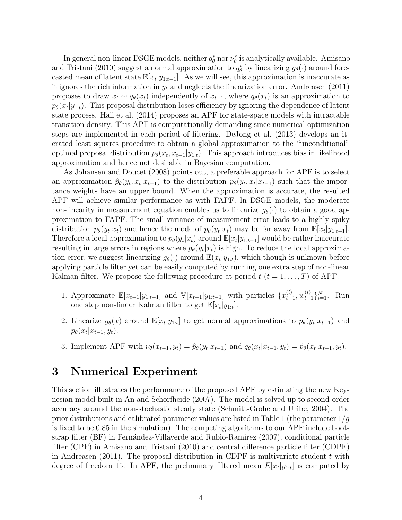In general non-linear DSGE models, neither  $q_{\theta}^*$  nor  $\nu_{\theta}^*$  is analytically available. Amisano and Tristani (2010) suggest a normal approximation to  $q_{\theta}^*$  by linearizing  $g_{\theta}(\cdot)$  around forecasted mean of latent state  $\mathbb{E}[x_t|y_{1:t-1}]$ . As we will see, this approximation is inaccurate as it ignores the rich information in  $y_t$  and neglects the linearization error. Andreasen (2011) proposes to draw  $x_t \sim q_\theta(x_t)$  independently of  $x_{t-1}$ , where  $q_\theta(x_t)$  is an approximation to  $p_{\theta}(x_t|y_{1:t})$ . This proposal distribution loses efficiency by ignoring the dependence of latent state process. Hall et al. (2014) proposes an APF for state-space models with intractable transition density. This APF is computationally demanding since numerical optimization steps are implemented in each period of filtering. DeJong et al. (2013) develops an iterated least squares procedure to obtain a global approximation to the "unconditional" optimal proposal distribution  $p_{\theta}(x_t, x_{t-1}|y_{1:t})$ . This approach introduces bias in likelihood approximation and hence not desirable in Bayesian computation.

As Johansen and Doucet (2008) points out, a preferable approach for APF is to select an approximation  $\hat{p}_{\theta}(y_t, x_t | x_{t-1})$  to the distribution  $p_{\theta}(y_t, x_t | x_{t-1})$  such that the importance weights have an upper bound. When the approximation is accurate, the resulted APF will achieve similar performance as with FAPF. In DSGE models, the moderate non-linearity in measurement equation enables us to linearize  $g_{\theta}(\cdot)$  to obtain a good approximation to FAPF. The small variance of measurement error leads to a highly spiky distribution  $p_{\theta}(y_t|x_t)$  and hence the mode of  $p_{\theta}(y_t|x_t)$  may be far away from  $\mathbb{E}[x_t|y_{1:t-1}]$ . Therefore a local approximation to  $p_{\theta}(y_t|x_t)$  around  $\mathbb{E}[x_t|y_{1:t-1}]$  would be rather inaccurate resulting in large errors in regions where  $p_{\theta}(y_t|x_t)$  is high. To reduce the local approximation error, we suggest linearizing  $g_{\theta}(\cdot)$  around  $\mathbb{E}(x_t|y_{1:t})$ , which though is unknown before applying particle filter yet can be easily computed by running one extra step of non-linear Kalman filter. We propose the following procedure at period  $t$   $(t = 1, \ldots, T)$  of APF:

- 1. Approximate  $\mathbb{E}[x_{t-1}|y_{1:t-1}]$  and  $\mathbb{V}[x_{t-1}|y_{1:t-1}]$  with particles  $\{x_{t-1}^{(i)}\}$  $_{t-1}^{(i)}, w_{t-1}^{(i)}\}_{i=1}^{N}$ . Run one step non-linear Kalman filter to get  $\mathbb{E}[x_t|y_{1:t}]$ .
- 2. Linearize  $g_{\theta}(x)$  around  $\mathbb{E}[x_t|y_{1:t}]$  to get normal approximations to  $p_{\theta}(y_t|x_{t-1})$  and  $p_{\theta}(x_t | x_{t-1}, y_t).$
- 3. Implement APF with  $\nu_{\theta}(x_{t-1}, y_t) = \hat{p}_{\theta}(y_t | x_{t-1})$  and  $q_{\theta}(x_t | x_{t-1}, y_t) = \hat{p}_{\theta}(x_t | x_{t-1}, y_t)$ .

#### 3 Numerical Experiment

This section illustrates the performance of the proposed APF by estimating the new Keynesian model built in An and Schorfheide (2007). The model is solved up to second-order accuracy around the non-stochastic steady state (Schmitt-Grohe and Uribe, 2004). The prior distributions and calibrated parameter values are listed in Table 1 (the parameter  $1/g$ is fixed to be 0.85 in the simulation). The competing algorithms to our APF include bootstrap filter (BF) in Fernández-Villaverde and Rubio-Ramírez (2007), conditional particle filter (CPF) in Amisano and Tristani (2010) and central difference particle filter (CDPF) in Andreasen (2011). The proposal distribution in CDPF is multivariate student-t with degree of freedom 15. In APF, the preliminary filtered mean  $E[x_t|y_{1:t}]$  is computed by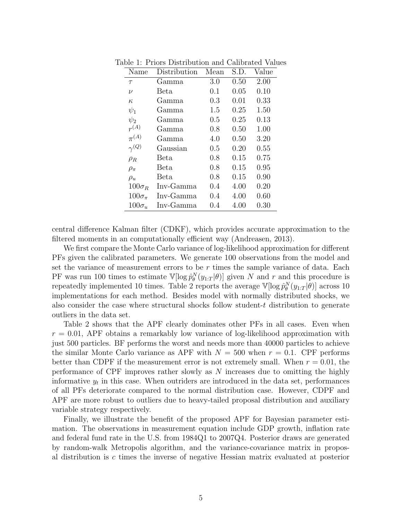| Name              | Distribution   | Mean | S.D. | Value |
|-------------------|----------------|------|------|-------|
| $\tau$            | Gamma          | 3.0  | 0.50 | 2.00  |
| $\nu$             | Beta.          |      | 0.05 | 0.10  |
| $\kappa$          | Gamma          | 0.3  | 0.01 | 0.33  |
| $\psi_1$          | Gamma<br>Gamma |      | 0.25 | 1.50  |
| $\psi_2$          |                |      | 0.25 | 0.13  |
| $r^{(A)}$         | Gamma          | 0.8  | 0.50 | 1.00  |
| $\pi^{(A)}$       | Gamma          | 4.0  | 0.50 | 3.20  |
| $\gamma^{(Q)}$    | Gaussian       | 0.5  | 0.20 | 0.55  |
| $\rho_R$          | Beta           | 0.8  | 0.15 | 0.75  |
| $\rho_{\pi}$      | Beta           | 0.8  | 0.15 | 0.95  |
| $\rho_u$          | Beta           | 0.8  | 0.15 | 0.90  |
| $100\sigma_R$     | Inv-Gamma      | 0.4  | 4.00 | 0.20  |
| $100\sigma_{\pi}$ | Inv-Gamma      | 0.4  | 4.00 | 0.60  |
| $100\sigma_u$     | Inv-Gamma      | 0.4  | 4.00 | 0.30  |

Table 1: Priors Distribution and Calibrated Values

central difference Kalman filter (CDKF), which provides accurate approximation to the filtered moments in an computationally efficient way (Andreasen, 2013).

We first compare the Monte Carlo variance of log-likelihood approximation for different PFs given the calibrated parameters. We generate 100 observations from the model and set the variance of measurement errors to be  $r$  times the sample variance of data. Each PF was run 100 times to estimate  $V[\log \hat{p}_{\theta}^{N}(y_{1:T}|\theta)]$  given N and r and this procedure is repeatedly implemented 10 times. Table 2 reports the average  $\mathbb{V}[\log \hat{p}_{\theta}^{N}(y_{1:T}|\theta)]$  across 10 implementations for each method. Besides model with normally distributed shocks, we also consider the case where structural shocks follow student-t distribution to generate outliers in the data set.

Table 2 shows that the APF clearly dominates other PFs in all cases. Even when  $r = 0.01$ , APF obtains a remarkably low variance of log-likelihood approximation with just 500 particles. BF performs the worst and needs more than 40000 particles to achieve the similar Monte Carlo variance as APF with  $N = 500$  when  $r = 0.1$ . CPF performs better than CDPF if the measurement error is not extremely small. When  $r = 0.01$ , the performance of CPF improves rather slowly as N increases due to omitting the highly informative  $y_t$  in this case. When outriders are introduced in the data set, performances of all PFs deteriorate compared to the normal distribution case. However, CDPF and APF are more robust to outliers due to heavy-tailed proposal distribution and auxiliary variable strategy respectively.

Finally, we illustrate the benefit of the proposed APF for Bayesian parameter estimation. The observations in measurement equation include GDP growth, inflation rate and federal fund rate in the U.S. from 1984Q1 to 2007Q4. Posterior draws are generated by random-walk Metropolis algorithm, and the variance-covariance matrix in proposal distribution is c times the inverse of negative Hessian matrix evaluated at posterior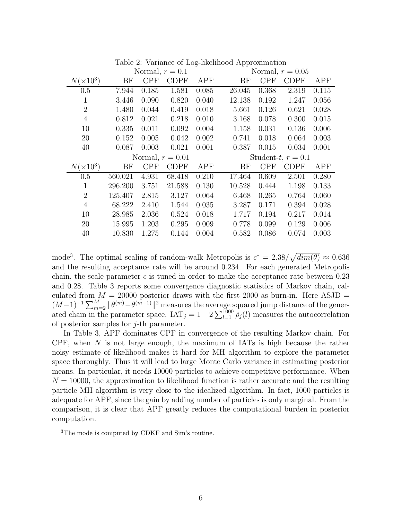|                    |         |            |             | $\smash{\smash{\cup}}$ | T T    |            |             |       |
|--------------------|---------|------------|-------------|------------------------|--------|------------|-------------|-------|
| Normal, $r = 0.1$  |         |            |             | Normal, $r = 0.05$     |        |            |             |       |
| $N(\times 10^3)$   | BF      | <b>CPF</b> | <b>CDPF</b> | APF                    | BF     | <b>CPF</b> | <b>CDPF</b> | APF   |
| 0.5                | 7.944   | 0.185      | 1.581       | 0.085                  | 26.045 | 0.368      | 2.319       | 0.115 |
| 1                  | 3.446   | 0.090      | 0.820       | 0.040                  | 12.138 | 0.192      | 1.247       | 0.056 |
| $\overline{2}$     | 1.480   | 0.044      | 0.419       | 0.018                  | 5.661  | 0.126      | 0.621       | 0.028 |
| $\overline{4}$     | 0.812   | 0.021      | 0.218       | 0.010                  | 3.168  | 0.078      | 0.300       | 0.015 |
| 10                 | 0.335   | 0.011      | 0.092       | 0.004                  | 1.158  | 0.031      | 0.136       | 0.006 |
| 20                 | 0.152   | 0.005      | 0.042       | 0.002                  | 0.741  | 0.018      | 0.064       | 0.003 |
| 40                 | 0.087   | 0.003      | 0.021       | 0.001                  | 0.387  | 0.015      | 0.034       | 0.001 |
| Normal, $r = 0.01$ |         |            |             | Student-t, $r = 0.1$   |        |            |             |       |
| $N(\times 10^3)$   | BF      | <b>CPF</b> | <b>CDPF</b> | <b>APF</b>             | BF     | <b>CPF</b> | <b>CDPF</b> | APF   |
|                    |         |            |             |                        |        |            |             |       |
| 0.5                | 560.021 | 4.931      | 68.418      | 0.210                  | 17.464 | 0.609      | 2.501       | 0.280 |
| 1                  | 296.200 | 3.751      | 21.588      | 0.130                  | 10.528 | 0.444      | 1.198       | 0.133 |
| $\overline{2}$     | 125.407 | 2.815      | 3.127       | 0.064                  | 6.468  | 0.265      | 0.764       | 0.060 |
| $\overline{4}$     | 68.222  | 2.410      | 1.544       | 0.035                  | 3.287  | 0.171      | 0.394       | 0.028 |
| 10                 | 28.985  | 2.036      | 0.524       | 0.018                  | 1.717  | 0.194      | 0.217       | 0.014 |
| 20                 | 15.995  | 1.203      | 0.295       | 0.009                  | 0.778  | 0.099      | 0.129       | 0.006 |
| 40                 | 10.830  | 1.275      | 0.144       | 0.004                  | 0.582  | 0.086      | 0.074       | 0.003 |

Table 2: Variance of Log-likelihood Approximation

mode<sup>3</sup>. The optimal scaling of random-walk Metropolis is  $c^* = 2.38/\sqrt{dim(\theta)} \approx 0.636$ and the resulting acceptance rate will be around 0.234. For each generated Metropolis chain, the scale parameter c is tuned in order to make the acceptance rate between  $0.23$ and 0.28. Table 3 reports some convergence diagnostic statistics of Markov chain, calculated from  $M = 20000$  posterior draws with the first 2000 as burn-in. Here ASJD  $=$  $(M-1)^{-1} \sum_{m=2}^{M} ||\theta^{(m)} - \theta^{(m-1)}||^2$  measures the average squared jump distance of the generated chain in the parameter space.  $IAT_j = 1 + 2\sum_{l=1}^{1000} \hat{\rho}_j(l)$  measures the autocorrelation of posterior samples for  $j$ -th parameter.

In Table 3, APF dominates CPF in convergence of the resulting Markov chain. For CPF, when  $N$  is not large enough, the maximum of IATs is high because the rather noisy estimate of likelihood makes it hard for MH algorithm to explore the parameter space thoroughly. Thus it will lead to large Monte Carlo variance in estimating posterior means. In particular, it needs 10000 particles to achieve competitive performance. When  $N = 10000$ , the approximation to likelihood function is rather accurate and the resulting particle MH algorithm is very close to the idealized algorithm. In fact, 1000 particles is adequate for APF, since the gain by adding number of particles is only marginal. From the comparison, it is clear that APF greatly reduces the computational burden in posterior computation.

<sup>3</sup>The mode is computed by CDKF and Sim's routine.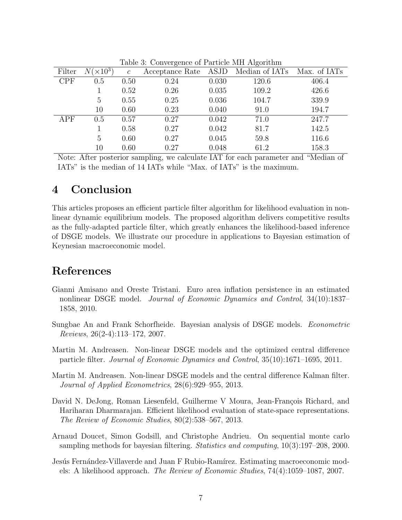|            |                  | Table 9. Convergence of I arrived MIT Tugorium |                                                  |       |       |       |
|------------|------------------|------------------------------------------------|--------------------------------------------------|-------|-------|-------|
| Filter     | $N(\times 10^3)$ | $\mathcal{C}$                                  | Acceptance Rate ASJD Median of IATs Max. of IATs |       |       |       |
| <b>CPF</b> | 0.5              | 0.50                                           | 0.24                                             | 0.030 | 120.6 | 406.4 |
|            |                  | 0.52                                           | 0.26                                             | 0.035 | 109.2 | 426.6 |
|            | 5                | 0.55                                           | 0.25                                             | 0.036 | 104.7 | 339.9 |
|            | 10               | 0.60                                           | 0.23                                             | 0.040 | 91.0  | 194.7 |
| APF        | 0.5              | 0.57                                           | 0.27                                             | 0.042 | 71.0  | 247.7 |
|            |                  | 0.58                                           | 0.27                                             | 0.042 | 81.7  | 142.5 |
|            | 5                | 0.60                                           | 0.27                                             | 0.045 | 59.8  | 116.6 |
|            | 10               | 0.60                                           | 0.27                                             | 0.048 | 61.2  | 158.3 |

Table 3: Convergence of Particle MH Algorithm

Note: After posterior sampling, we calculate IAT for each parameter and "Median of IATs" is the median of 14 IATs while "Max. of IATs" is the maximum.

### 4 Conclusion

This articles proposes an efficient particle filter algorithm for likelihood evaluation in nonlinear dynamic equilibrium models. The proposed algorithm delivers competitive results as the fully-adapted particle filter, which greatly enhances the likelihood-based inference of DSGE models. We illustrate our procedure in applications to Bayesian estimation of Keynesian macroeconomic model.

## References

- Gianni Amisano and Oreste Tristani. Euro area inflation persistence in an estimated nonlinear DSGE model. Journal of Economic Dynamics and Control, 34(10):1837– 1858, 2010.
- Sungbae An and Frank Schorfheide. Bayesian analysis of DSGE models. Econometric Reviews, 26(2-4):113–172, 2007.
- Martin M. Andreasen. Non-linear DSGE models and the optimized central difference particle filter. Journal of Economic Dynamics and Control, 35(10):1671–1695, 2011.
- Martin M. Andreasen. Non-linear DSGE models and the central difference Kalman filter. Journal of Applied Econometrics, 28(6):929–955, 2013.
- David N. DeJong, Roman Liesenfeld, Guilherme V Moura, Jean-François Richard, and Hariharan Dharmarajan. Efficient likelihood evaluation of state-space representations. The Review of Economic Studies, 80(2):538–567, 2013.
- Arnaud Doucet, Simon Godsill, and Christophe Andrieu. On sequential monte carlo sampling methods for bayesian filtering. Statistics and computing, 10(3):197–208, 2000.
- Jesús Fernández-Villaverde and Juan F Rubio-Ramírez. Estimating macroeconomic models: A likelihood approach. The Review of Economic Studies, 74(4):1059–1087, 2007.